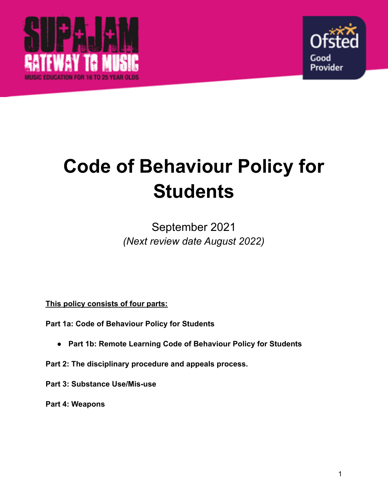



# **Code of Behaviour Policy for Students**

# September 2021 *(Next review date August 2022)*

**This policy consists of four parts:**

**Part 1a: Code of Behaviour Policy for Students**

- **● Part 1b: Remote Learning Code of Behaviour Policy for Students**
- **Part 2: The disciplinary procedure and appeals process.**
- **Part 3: Substance Use/Mis-use**

**Part 4: Weapons**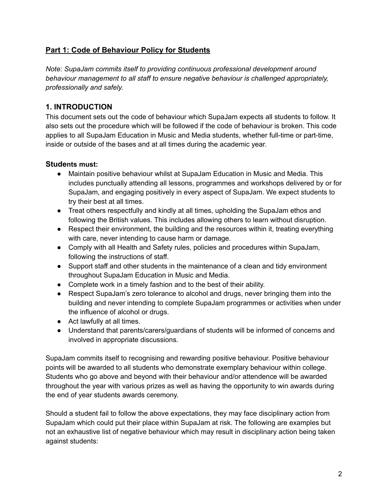# **Part 1: Code of Behaviour Policy for Students**

*Note: SupaJam commits itself to providing continuous professional development around behaviour management to all staff to ensure negative behaviour is challenged appropriately, professionally and safely.*

# **1. INTRODUCTION**

This document sets out the code of behaviour which SupaJam expects all students to follow. It also sets out the procedure which will be followed if the code of behaviour is broken. This code applies to all SupaJam Education in Music and Media students, whether full-time or part-time, inside or outside of the bases and at all times during the academic year.

# **Students must:**

- Maintain positive behaviour whilst at SupaJam Education in Music and Media. This includes punctually attending all lessons, programmes and workshops delivered by or for SupaJam, and engaging positively in every aspect of SupaJam. We expect students to try their best at all times.
- Treat others respectfully and kindly at all times, upholding the SupaJam ethos and following the British values. This includes allowing others to learn without disruption.
- Respect their environment, the building and the resources within it, treating everything with care, never intending to cause harm or damage.
- Comply with all Health and Safety rules, policies and procedures within SupaJam, following the instructions of staff.
- Support staff and other students in the maintenance of a clean and tidy environment throughout SupaJam Education in Music and Media.
- Complete work in a timely fashion and to the best of their ability.
- Respect SupaJam's zero tolerance to alcohol and drugs, never bringing them into the building and never intending to complete SupaJam programmes or activities when under the influence of alcohol or drugs.
- Act lawfully at all times.
- Understand that parents/carers/guardians of students will be informed of concerns and involved in appropriate discussions.

SupaJam commits itself to recognising and rewarding positive behaviour. Positive behaviour points will be awarded to all students who demonstrate exemplary behaviour within college. Students who go above and beyond with their behaviour and/or attendence will be awarded throughout the year with various prizes as well as having the opportunity to win awards during the end of year students awards ceremony.

Should a student fail to follow the above expectations, they may face disciplinary action from SupaJam which could put their place within SupaJam at risk. The following are examples but not an exhaustive list of negative behaviour which may result in disciplinary action being taken against students: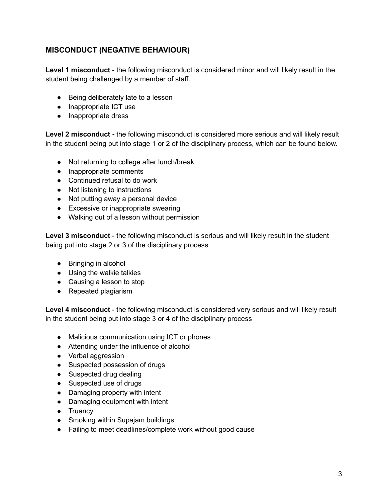# **MISCONDUCT (NEGATIVE BEHAVIOUR)**

**Level 1 misconduct** - the following misconduct is considered minor and will likely result in the student being challenged by a member of staff.

- Being deliberately late to a lesson
- Inappropriate ICT use
- Inappropriate dress

**Level 2 misconduct -** the following misconduct is considered more serious and will likely result in the student being put into stage 1 or 2 of the disciplinary process, which can be found below.

- Not returning to college after lunch/break
- Inappropriate comments
- Continued refusal to do work
- Not listening to instructions
- Not putting away a personal device
- Excessive or inappropriate swearing
- Walking out of a lesson without permission

**Level 3 misconduct** - the following misconduct is serious and will likely result in the student being put into stage 2 or 3 of the disciplinary process.

- Bringing in alcohol
- Using the walkie talkies
- Causing a lesson to stop
- Repeated plagiarism

**Level 4 misconduct** - the following misconduct is considered very serious and will likely result in the student being put into stage 3 or 4 of the disciplinary process

- Malicious communication using ICT or phones
- Attending under the influence of alcohol
- Verbal aggression
- Suspected possession of drugs
- Suspected drug dealing
- Suspected use of drugs
- Damaging property with intent
- Damaging equipment with intent
- Truancy
- Smoking within Supajam buildings
- Failing to meet deadlines/complete work without good cause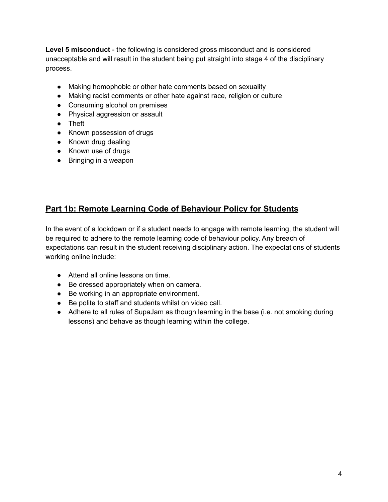**Level 5 misconduct** - the following is considered gross misconduct and is considered unacceptable and will result in the student being put straight into stage 4 of the disciplinary process.

- Making homophobic or other hate comments based on sexuality
- Making racist comments or other hate against race, religion or culture
- Consuming alcohol on premises
- Physical aggression or assault
- Theft
- Known possession of drugs
- Known drug dealing
- Known use of drugs
- Bringing in a weapon

# **Part 1b: Remote Learning Code of Behaviour Policy for Students**

In the event of a lockdown or if a student needs to engage with remote learning, the student will be required to adhere to the remote learning code of behaviour policy. Any breach of expectations can result in the student receiving disciplinary action. The expectations of students working online include:

- Attend all online lessons on time.
- Be dressed appropriately when on camera.
- Be working in an appropriate environment.
- Be polite to staff and students whilst on video call.
- Adhere to all rules of SupaJam as though learning in the base (i.e. not smoking during lessons) and behave as though learning within the college.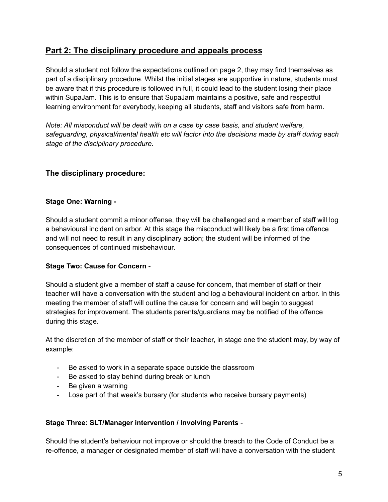# **Part 2: The disciplinary procedure and appeals process**

Should a student not follow the expectations outlined on page 2, they may find themselves as part of a disciplinary procedure. Whilst the initial stages are supportive in nature, students must be aware that if this procedure is followed in full, it could lead to the student losing their place within SupaJam. This is to ensure that SupaJam maintains a positive, safe and respectful learning environment for everybody, keeping all students, staff and visitors safe from harm.

*Note: All misconduct will be dealt with on a case by case basis, and student welfare, safeguarding, physical/mental health etc will factor into the decisions made by staff during each stage of the disciplinary procedure.*

# **The disciplinary procedure:**

#### **Stage One: Warning -**

Should a student commit a minor offense, they will be challenged and a member of staff will log a behavioural incident on arbor. At this stage the misconduct will likely be a first time offence and will not need to result in any disciplinary action; the student will be informed of the consequences of continued misbehaviour.

# **Stage Two: Cause for Concern** -

Should a student give a member of staff a cause for concern, that member of staff or their teacher will have a conversation with the student and log a behavioural incident on arbor. In this meeting the member of staff will outline the cause for concern and will begin to suggest strategies for improvement. The students parents/guardians may be notified of the offence during this stage.

At the discretion of the member of staff or their teacher, in stage one the student may, by way of example:

- Be asked to work in a separate space outside the classroom
- Be asked to stay behind during break or lunch
- Be given a warning
- Lose part of that week's bursary (for students who receive bursary payments)

#### **Stage Three: SLT/Manager intervention / Involving Parents** -

Should the student's behaviour not improve or should the breach to the Code of Conduct be a re-offence, a manager or designated member of staff will have a conversation with the student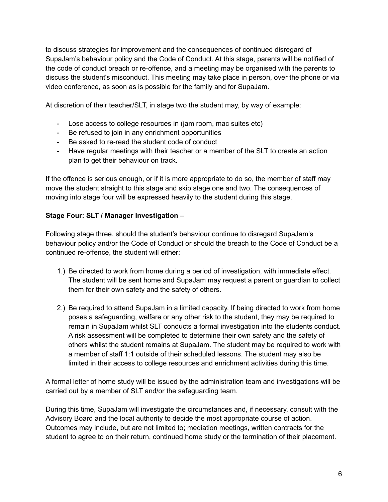to discuss strategies for improvement and the consequences of continued disregard of SupaJam's behaviour policy and the Code of Conduct. At this stage, parents will be notified of the code of conduct breach or re-offence, and a meeting may be organised with the parents to discuss the student's misconduct. This meeting may take place in person, over the phone or via video conference, as soon as is possible for the family and for SupaJam.

At discretion of their teacher/SLT, in stage two the student may, by way of example:

- Lose access to college resources in (jam room, mac suites etc)
- Be refused to join in any enrichment opportunities
- Be asked to re-read the student code of conduct
- Have regular meetings with their teacher or a member of the SLT to create an action plan to get their behaviour on track.

If the offence is serious enough, or if it is more appropriate to do so, the member of staff may move the student straight to this stage and skip stage one and two. The consequences of moving into stage four will be expressed heavily to the student during this stage.

# **Stage Four: SLT / Manager Investigation** –

Following stage three, should the student's behaviour continue to disregard SupaJam's behaviour policy and/or the Code of Conduct or should the breach to the Code of Conduct be a continued re-offence, the student will either:

- 1.) Be directed to work from home during a period of investigation, with immediate effect. The student will be sent home and SupaJam may request a parent or guardian to collect them for their own safety and the safety of others.
- 2.) Be required to attend SupaJam in a limited capacity. If being directed to work from home poses a safeguarding, welfare or any other risk to the student, they may be required to remain in SupaJam whilst SLT conducts a formal investigation into the students conduct. A risk assessment will be completed to determine their own safety and the safety of others whilst the student remains at SupaJam. The student may be required to work with a member of staff 1:1 outside of their scheduled lessons. The student may also be limited in their access to college resources and enrichment activities during this time.

A formal letter of home study will be issued by the administration team and investigations will be carried out by a member of SLT and/or the safeguarding team.

During this time, SupaJam will investigate the circumstances and, if necessary, consult with the Advisory Board and the local authority to decide the most appropriate course of action. Outcomes may include, but are not limited to; mediation meetings, written contracts for the student to agree to on their return, continued home study or the termination of their placement.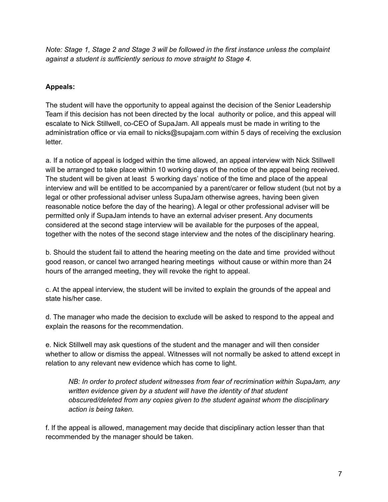*Note: Stage 1, Stage 2 and Stage 3 will be followed in the first instance unless the complaint against a student is sufficiently serious to move straight to Stage 4.*

# **Appeals:**

The student will have the opportunity to appeal against the decision of the Senior Leadership Team if this decision has not been directed by the local authority or police, and this appeal will escalate to Nick Stillwell, co-CEO of SupaJam. All appeals must be made in writing to the administration office or via email to nicks@supajam.com within 5 days of receiving the exclusion letter.

a. If a notice of appeal is lodged within the time allowed, an appeal interview with Nick Stillwell will be arranged to take place within 10 working days of the notice of the appeal being received. The student will be given at least 5 working days' notice of the time and place of the appeal interview and will be entitled to be accompanied by a parent/carer or fellow student (but not by a legal or other professional adviser unless SupaJam otherwise agrees, having been given reasonable notice before the day of the hearing). A legal or other professional adviser will be permitted only if SupaJam intends to have an external adviser present. Any documents considered at the second stage interview will be available for the purposes of the appeal, together with the notes of the second stage interview and the notes of the disciplinary hearing.

b. Should the student fail to attend the hearing meeting on the date and time provided without good reason, or cancel two arranged hearing meetings without cause or within more than 24 hours of the arranged meeting, they will revoke the right to appeal.

c. At the appeal interview, the student will be invited to explain the grounds of the appeal and state his/her case.

d. The manager who made the decision to exclude will be asked to respond to the appeal and explain the reasons for the recommendation.

e. Nick Stillwell may ask questions of the student and the manager and will then consider whether to allow or dismiss the appeal. Witnesses will not normally be asked to attend except in relation to any relevant new evidence which has come to light.

*NB: In order to protect student witnesses from fear of recrimination within SupaJam, any written evidence given by a student will have the identity of that student obscured/deleted from any copies given to the student against whom the disciplinary action is being taken.*

f. If the appeal is allowed, management may decide that disciplinary action lesser than that recommended by the manager should be taken.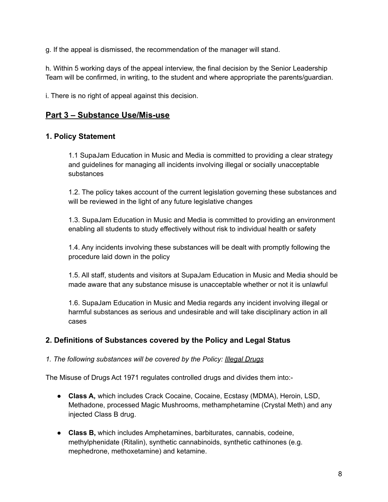g. If the appeal is dismissed, the recommendation of the manager will stand.

h. Within 5 working days of the appeal interview, the final decision by the Senior Leadership Team will be confirmed, in writing, to the student and where appropriate the parents/guardian.

i. There is no right of appeal against this decision.

# **Part 3 – Substance Use/Mis-use**

#### **1. Policy Statement**

1.1 SupaJam Education in Music and Media is committed to providing a clear strategy and guidelines for managing all incidents involving illegal or socially unacceptable substances

1.2. The policy takes account of the current legislation governing these substances and will be reviewed in the light of any future legislative changes

1.3. SupaJam Education in Music and Media is committed to providing an environment enabling all students to study effectively without risk to individual health or safety

1.4. Any incidents involving these substances will be dealt with promptly following the procedure laid down in the policy

1.5. All staff, students and visitors at SupaJam Education in Music and Media should be made aware that any substance misuse is unacceptable whether or not it is unlawful

1.6. SupaJam Education in Music and Media regards any incident involving illegal or harmful substances as serious and undesirable and will take disciplinary action in all cases

# **2. Definitions of Substances covered by the Policy and Legal Status**

#### *1. The following substances will be covered by the Policy: Illegal Drugs*

The Misuse of Drugs Act 1971 regulates controlled drugs and divides them into:-

- **Class A,** which includes Crack Cocaine, Cocaine, Ecstasy (MDMA), Heroin, LSD, Methadone, processed Magic Mushrooms, methamphetamine (Crystal Meth) and any injected Class B drug.
- **Class B,** which includes Amphetamines, barbiturates, cannabis, codeine, methylphenidate (Ritalin), synthetic cannabinoids, synthetic cathinones (e.g. mephedrone, methoxetamine) and ketamine.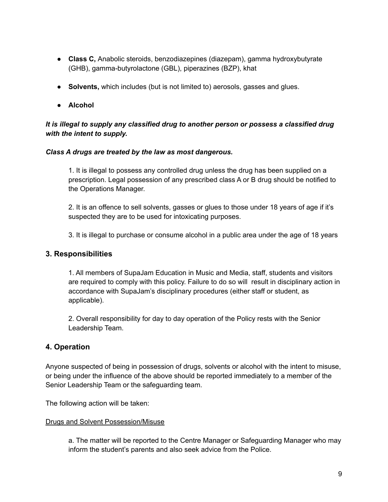- **Class C,** Anabolic steroids, benzodiazepines (diazepam), gamma hydroxybutyrate (GHB), gamma-butyrolactone (GBL), piperazines (BZP), khat
- **Solvents,** which includes (but is not limited to) aerosols, gasses and glues.
- **Alcohol**

#### *It is illegal to supply any classified drug to another person or possess a classified drug with the intent to supply.*

#### *Class A drugs are treated by the law as most dangerous.*

1. It is illegal to possess any controlled drug unless the drug has been supplied on a prescription. Legal possession of any prescribed class A or B drug should be notified to the Operations Manager.

2. It is an offence to sell solvents, gasses or glues to those under 18 years of age if it's suspected they are to be used for intoxicating purposes.

3. It is illegal to purchase or consume alcohol in a public area under the age of 18 years

# **3. Responsibilities**

1. All members of SupaJam Education in Music and Media, staff, students and visitors are required to comply with this policy. Failure to do so will result in disciplinary action in accordance with SupaJam's disciplinary procedures (either staff or student, as applicable).

2. Overall responsibility for day to day operation of the Policy rests with the Senior Leadership Team.

# **4. Operation**

Anyone suspected of being in possession of drugs, solvents or alcohol with the intent to misuse, or being under the influence of the above should be reported immediately to a member of the Senior Leadership Team or the safeguarding team.

The following action will be taken:

#### Drugs and Solvent Possession/Misuse

a. The matter will be reported to the Centre Manager or Safeguarding Manager who may inform the student's parents and also seek advice from the Police.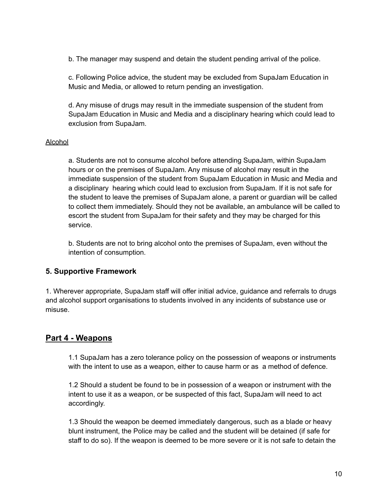b. The manager may suspend and detain the student pending arrival of the police.

c. Following Police advice, the student may be excluded from SupaJam Education in Music and Media, or allowed to return pending an investigation.

d. Any misuse of drugs may result in the immediate suspension of the student from SupaJam Education in Music and Media and a disciplinary hearing which could lead to exclusion from SupaJam.

#### Alcohol

a. Students are not to consume alcohol before attending SupaJam, within SupaJam hours or on the premises of SupaJam. Any misuse of alcohol may result in the immediate suspension of the student from SupaJam Education in Music and Media and a disciplinary hearing which could lead to exclusion from SupaJam. If it is not safe for the student to leave the premises of SupaJam alone, a parent or guardian will be called to collect them immediately. Should they not be available, an ambulance will be called to escort the student from SupaJam for their safety and they may be charged for this service.

b. Students are not to bring alcohol onto the premises of SupaJam, even without the intention of consumption.

# **5. Supportive Framework**

1. Wherever appropriate, SupaJam staff will offer initial advice, guidance and referrals to drugs and alcohol support organisations to students involved in any incidents of substance use or misuse.

# **Part 4 - Weapons**

1.1 SupaJam has a zero tolerance policy on the possession of weapons or instruments with the intent to use as a weapon, either to cause harm or as a method of defence.

1.2 Should a student be found to be in possession of a weapon or instrument with the intent to use it as a weapon, or be suspected of this fact, SupaJam will need to act accordingly.

1.3 Should the weapon be deemed immediately dangerous, such as a blade or heavy blunt instrument, the Police may be called and the student will be detained (if safe for staff to do so). If the weapon is deemed to be more severe or it is not safe to detain the